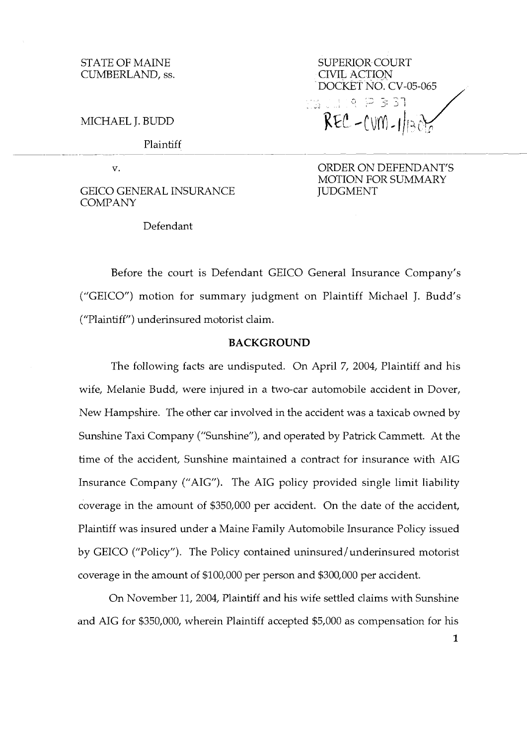MICHAEL J. BLDD

Plaintiff

 $\overline{\mathbf{V}}$ .

GEICO GENERAL INSURANCE COMPANY

Defendant

DOCKET NO. CV-05-065 ,  $REC - CUM - 1/12$ 

ORDER ON DEFENDANT'S MOTION FOR SUMMARY **JUDGMENT** 

Before the court is Defendant GEICO General Insurance Company's ("GElCO") motion for summary judgment on Plaintiff Michael J. Budd's ("Plaintiff") underinsured motorist claim.

## **BACKGROUND**

The following facts are undisputed. On April 7, 2004, Plaintiff and his wife, Melanie Budd, were injured in a two-car automobile accident in Dover, New Hampshire. The other car involved in the accident was a taxicab owned by Sunshine Taxi Company ("Sunshine"), and operated by Patrick Cammett. At the time of the accident, Sunshine maintained a contract for insurance with AIG Insurance Company ("AIG"). The AIG policy provided single limit liability coverage in the amount of \$350,000 per accident. On the date of the accident, Plaintiff was insured under a Maine Family Automobile Insurance Policy issued by GEICO ("Policy"). The Policy contained uninsured / underinsured motorist coverage in the amount of \$100,000 per person and \$300,000 per accident.

On November 11, 2004, Plaintiff and his wife settled claims with Sunshine and AIG for \$350,000, wherein Plaintiff accepted \$5,000 as compensation for his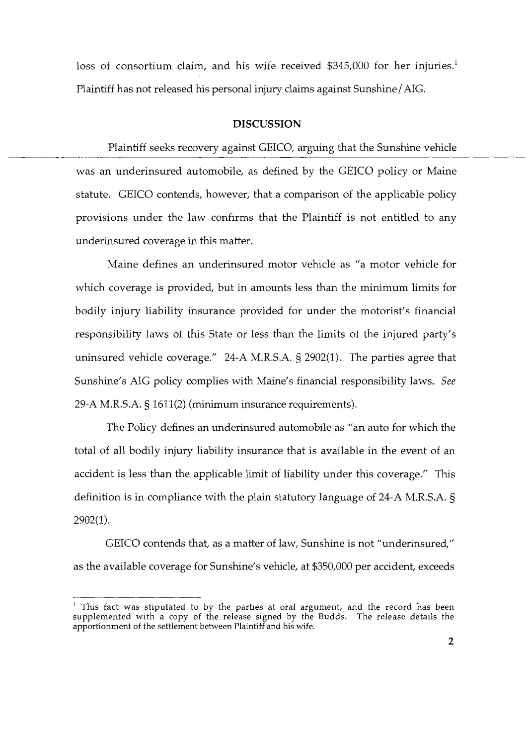loss of consortium claim, and his wife received \$345,000 for her injuries.<sup>1</sup> Plaintiff has not released his personal injury claims against Sunshine/AIG.

## **DISCUSSION**

Plaintiff seeks recovery against GEICO, arguing that the Sunshine vehicle was an underinsured automobile, as defined by the GEICO policy or Maine statute. GEICO contends, however, that a comparison of the applicable policy provisions under the law confirms that the Plaintiff is not entitled to any underinsured coverage in this matter.

Maine defines an underinsured motor vehicle as "a motor vehicle for which coverage is provided, but in amounts less than the minimum limits for bodily injury liability insurance provided for under the motorist's financial responsibility laws of this State or less than the limits of the injured party's uninsured vehicle coverage." 24-A M.R.S.A. § 2902(1). The parties agree that Sunshine's AIG policy complies with Maine's financial responsibility laws. See 29-A M.R.S.A. § 1611(2) (minimum insurance requirements).

The Policy defines an underinsured automobile as "an auto for which the total of all bodily injury liability insurance that is available in the event of an accident is less than the applicable limit of liability under this coverage." This definition is in compliance with the plain statutory language of 24-A M.R.S.A. § 2902(1).

GEICO contends that, as a matter of law, Sunshine is not "underinsured," as the available coverage for Sunshine's vehicle, at \$350,000 per accident, exceeds

This fact was stipulated to by the parties at oral argument, and the record has been supplemented with a copy of the release signed by the Budds. The release details the apportionment of the settlement between Plaintiff and his wife.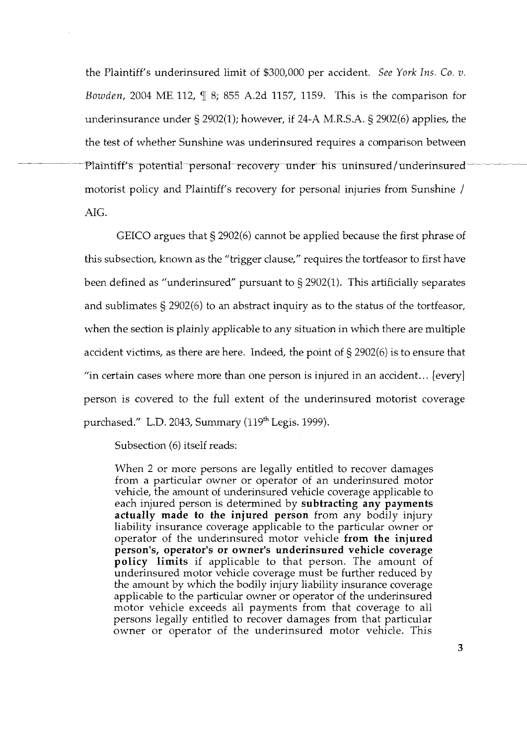the Plaintiff's underinsured limit of \$300,000 per accident. See York Ins. Co. v. Bowden, 2004 ME. 112, q[ 8; 855 A.2d 1157, 1159. This is the comparison for underinsurance under § 2902(1); however, if 24-A M.R.S.A. § 2902(6) applies, the the test of whether Sunshine was underinsured requires a comparison between Plaintiff's potential personal recovery under his uninsured/underinsured motorist policy and Plaintiff's recovery for personal injuries from Sunshine / AIG.

GEICO argues that § 2902(6) cannot be applied because the first phrase of this subsection, known as the "trigger clause," requires the tortfeasor to first have been defined as "underinsured" pursuant to § 2902(1). This artificially separates and sublimates § 2902(6) to an abstract inquiry as to the status of the tortfeasor, when the section is plainly applicable to any situation in which there are multiple accident victims, as there are here. Indeed, the point of § 2902(6) is to ensure that "in certain cases where more than one person is injured in an accident.. . [every] person is covered to the full extent of the underinsured motorist coverage purchased." L.D. 2043, Summary  $(119<sup>th</sup>$  Legis. 1999).

Subsection (6) itself reads:

When 2 or more persons are legally entitled to recover damages from a particular owner or operator of an underinsured motor vehicle, the amount of underinsured vehicle coverage applicable to each injured person is determined by **subtracting any payments actually made to the injured person** from any bodily injury liability insurance coverage applicable to the particular owner or operator of the underinsured motor vehicle **from the injured person's, operator's or owner's underinsured vehicle coverage policy limits** if applicable to that person. The amount of underinsured motor vehicle coverage must be further reduced by the amount by which the bodily injury liability insurance coverage applicable to the particular owner or operator of the underinsured motor vehicle exceeds all payments from that coverage to all persons legally entitled to recover damages from that particular owner or operator of the underinsured motor vehicle. This

3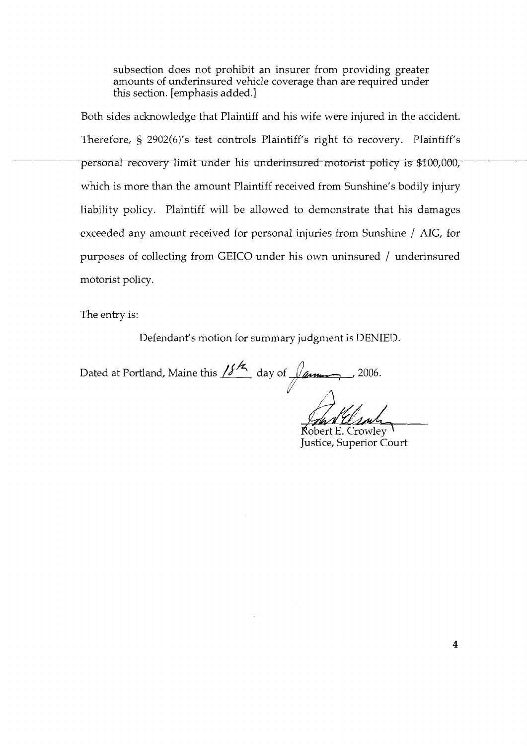subsection does not prohibit an insurer from providing greater amounts of underinsured vehicle coverage than are required under this section. [emphasis added.]

Both sides acknowledge that Plaintiff and his wife were injured in the accident. Therefore, § 2902(6)'s test controls Plaintiff's right to recovery. Plaintiff's personal recovery limit under his underinsured motorist policy is \$100,000, which is more than the amount Plaintiff received from Sunshine's bodily injury liability policy. Plaintiff will be allowed to demonstrate that his damages exceeded any amount received for personal injuries from Sunshine / AIG, for purposes of collecting from GEICO under hs own uninsured / underinsured motorist policy.

The entry is:

Defendant's motion for summary judgment is DENIED.

The entry is:<br>
Defendant's motion for summary judgment is DENI<br>
Dated at Portland, Maine this  $\frac{\sqrt{6}}{2}$  day of  $\frac{\sqrt{2}}{2}$  , 2006. L'

Robert E. Crowley Justice, Superior Court